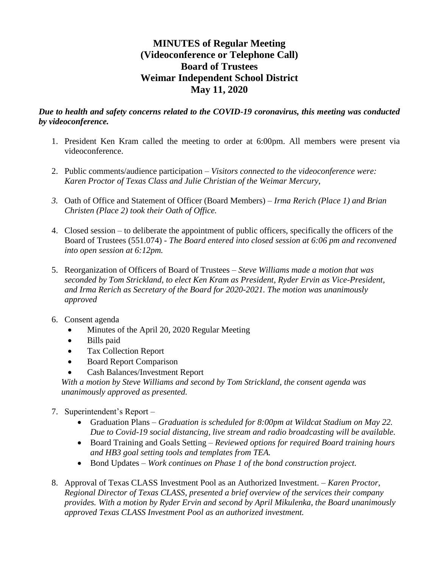## **MINUTES of Regular Meeting (Videoconference or Telephone Call) Board of Trustees Weimar Independent School District May 11, 2020**

## *Due to health and safety concerns related to the COVID-19 coronavirus, this meeting was conducted by videoconference.*

- 1. President Ken Kram called the meeting to order at 6:00pm. All members were present via videoconference.
- 2. Public comments/audience participation *Visitors connected to the videoconference were: Karen Proctor of Texas Class and Julie Christian of the Weimar Mercury,*
- *3.* Oath of Office and Statement of Officer (Board Members) *Irma Rerich (Place 1) and Brian Christen (Place 2) took their Oath of Office.*
- 4. Closed session to deliberate the appointment of public officers, specifically the officers of the Board of Trustees (551.074) - *The Board entered into closed session at 6:06 pm and reconvened into open session at 6:12pm.*
- 5. Reorganization of Officers of Board of Trustees *Steve Williams made a motion that was seconded by Tom Strickland, to elect Ken Kram as President, Ryder Ervin as Vice-President, and Irma Rerich as Secretary of the Board for 2020-2021. The motion was unanimously approved*
- 6. Consent agenda
	- Minutes of the April 20, 2020 Regular Meeting
	- Bills paid
	- Tax Collection Report
	- Board Report Comparison
	- Cash Balances/Investment Report

*With a motion by Steve Williams and second by Tom Strickland, the consent agenda was unanimously approved as presented.*

- 7. Superintendent's Report
	- Graduation Plans *Graduation is scheduled for 8:00pm at Wildcat Stadium on May 22. Due to Covid-19 social distancing, live stream and radio broadcasting will be available.*
	- Board Training and Goals Setting *Reviewed options for required Board training hours and HB3 goal setting tools and templates from TEA.*
	- Bond Updates *Work continues on Phase 1 of the bond construction project.*
- 8. Approval of Texas CLASS Investment Pool as an Authorized Investment. *Karen Proctor, Regional Director of Texas CLASS, presented a brief overview of the services their company provides. With a motion by Ryder Ervin and second by April Mikulenka, the Board unanimously approved Texas CLASS Investment Pool as an authorized investment.*